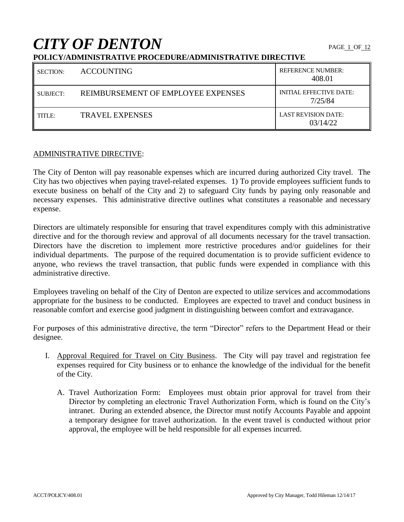# **CITY OF DENTON**

# **POLICY/ADMINISTRATIVE PROCEDURE/ADMINISTRATIVE DIRECTIVE**

| <b>SECTION:</b> | <b>ACCOUNTING</b>                  | <b>REFERENCE NUMBER:</b><br>408.01        |
|-----------------|------------------------------------|-------------------------------------------|
| SUBJECT:        | REIMBURSEMENT OF EMPLOYEE EXPENSES | <b>INITIAL EFFECTIVE DATE:</b><br>7/25/84 |
| TITLE:          | TRAVEL EXPENSES                    | <b>LAST REVISION DATE:</b><br>03/14/22    |

# ADMINISTRATIVE DIRECTIVE:

The City of Denton will pay reasonable expenses which are incurred during authorized City travel. The City has two objectives when paying travel-related expenses. 1) To provide employees sufficient funds to execute business on behalf of the City and 2) to safeguard City funds by paying only reasonable and necessary expenses. This administrative directive outlines what constitutes a reasonable and necessary expense.

Directors are ultimately responsible for ensuring that travel expenditures comply with this administrative directive and for the thorough review and approval of all documents necessary for the travel transaction. Directors have the discretion to implement more restrictive procedures and/or guidelines for their individual departments. The purpose of the required documentation is to provide sufficient evidence to anyone, who reviews the travel transaction, that public funds were expended in compliance with this administrative directive.

Employees traveling on behalf of the City of Denton are expected to utilize services and accommodations appropriate for the business to be conducted. Employees are expected to travel and conduct business in reasonable comfort and exercise good judgment in distinguishing between comfort and extravagance.

For purposes of this administrative directive, the term "Director" refers to the Department Head or their designee.

- I. Approval Required for Travel on City Business. The City will pay travel and registration fee expenses required for City business or to enhance the knowledge of the individual for the benefit of the City.
	- A. Travel Authorization Form: Employees must obtain prior approval for travel from their Director by completing an electronic Travel Authorization Form, which is found on the City's intranet. During an extended absence, the Director must notify Accounts Payable and appoint a temporary designee for travel authorization. In the event travel is conducted without prior approval, the employee will be held responsible for all expenses incurred.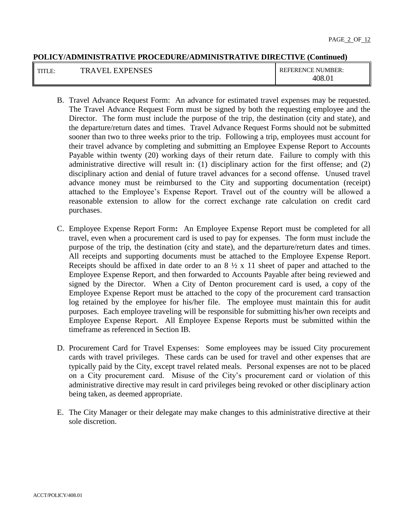| TITT<br>TILL. | XPENSES<br>--<br>◡<br>-<br>К<br>$\overline{\phantom{a}}$<br>-- | "IMBER:<br><b>FERENCE</b><br>RF<br>Νl |
|---------------|----------------------------------------------------------------|---------------------------------------|
|               |                                                                | $\Omega$<br>08،                       |

- B. Travel Advance Request Form: An advance for estimated travel expenses may be requested. The Travel Advance Request Form must be signed by both the requesting employee and the Director. The form must include the purpose of the trip, the destination (city and state), and the departure/return dates and times. Travel Advance Request Forms should not be submitted sooner than two to three weeks prior to the trip. Following a trip, employees must account for their travel advance by completing and submitting an Employee Expense Report to Accounts Payable within twenty (20) working days of their return date. Failure to comply with this administrative directive will result in: (1) disciplinary action for the first offense; and (2) disciplinary action and denial of future travel advances for a second offense. Unused travel advance money must be reimbursed to the City and supporting documentation (receipt) attached to the Employee's Expense Report. Travel out of the country will be allowed a reasonable extension to allow for the correct exchange rate calculation on credit card purchases.
- C. Employee Expense Report Form**:** An Employee Expense Report must be completed for all travel, even when a procurement card is used to pay for expenses. The form must include the purpose of the trip, the destination (city and state), and the departure/return dates and times. All receipts and supporting documents must be attached to the Employee Expense Report. Receipts should be affixed in date order to an  $8\frac{1}{2}$  x 11 sheet of paper and attached to the Employee Expense Report, and then forwarded to Accounts Payable after being reviewed and signed by the Director. When a City of Denton procurement card is used, a copy of the Employee Expense Report must be attached to the copy of the procurement card transaction log retained by the employee for his/her file. The employee must maintain this for audit purposes. Each employee traveling will be responsible for submitting his/her own receipts and Employee Expense Report. All Employee Expense Reports must be submitted within the timeframe as referenced in Section IB.
- D. Procurement Card for Travel Expenses: Some employees may be issued City procurement cards with travel privileges. These cards can be used for travel and other expenses that are typically paid by the City, except travel related meals. Personal expenses are not to be placed on a City procurement card. Misuse of the City's procurement card or violation of this administrative directive may result in card privileges being revoked or other disciplinary action being taken, as deemed appropriate.
- E. The City Manager or their delegate may make changes to this administrative directive at their sole discretion.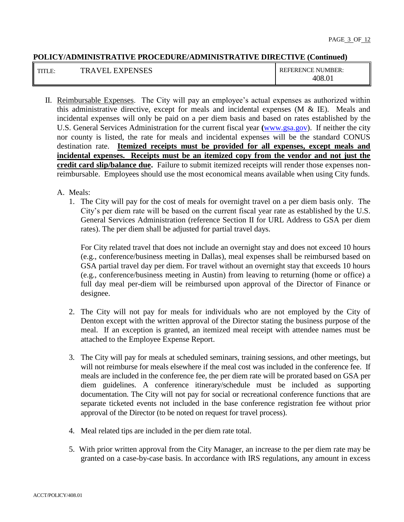| TITI L | <b>EXPENSES</b><br>7 F I<br>TRA | <b>REFERENCE NUMBER:</b> |
|--------|---------------------------------|--------------------------|
|        |                                 | 408.01                   |

II. Reimbursable Expenses. The City will pay an employee's actual expenses as authorized within this administrative directive, except for meals and incidental expenses (M & IE). Meals and incidental expenses will only be paid on a per diem basis and based on rates established by the U.S. General Services Administration for the current fiscal year **(**[www.gsa.gov\)](http://www.gsa.gov/). If neither the city nor county is listed, the rate for meals and incidental expenses will be the standard CONUS destination rate. **Itemized receipts must be provided for all expenses, except meals and incidental expenses. Receipts must be an itemized copy from the vendor and not just the credit card slip/balance due.** Failure to submit itemized receipts will render those expenses nonreimbursable. Employees should use the most economical means available when using City funds.

# A. Meals:

1. The City will pay for the cost of meals for overnight travel on a per diem basis only. The City's per diem rate will be based on the current fiscal year rate as established by the U.S. General Services Administration (reference Section II for URL Address to GSA per diem rates). The per diem shall be adjusted for partial travel days.

For City related travel that does not include an overnight stay and does not exceed 10 hours (e.g., conference/business meeting in Dallas), meal expenses shall be reimbursed based on GSA partial travel day per diem. For travel without an overnight stay that exceeds 10 hours (e.g., conference/business meeting in Austin) from leaving to returning (home or office) a full day meal per-diem will be reimbursed upon approval of the Director of Finance or designee.

- 2. The City will not pay for meals for individuals who are not employed by the City of Denton except with the written approval of the Director stating the business purpose of the meal. If an exception is granted, an itemized meal receipt with attendee names must be attached to the Employee Expense Report.
- 3. The City will pay for meals at scheduled seminars, training sessions, and other meetings, but will not reimburse for meals elsewhere if the meal cost was included in the conference fee. If meals are included in the conference fee, the per diem rate will be prorated based on GSA per diem guidelines. A conference itinerary/schedule must be included as supporting documentation. The City will not pay for social or recreational conference functions that are separate ticketed events not included in the base conference registration fee without prior approval of the Director (to be noted on request for travel process).
- 4. Meal related tips are included in the per diem rate total.
- 5. With prior written approval from the City Manager, an increase to the per diem rate may be granted on a case-by-case basis. In accordance with IRS regulations, any amount in excess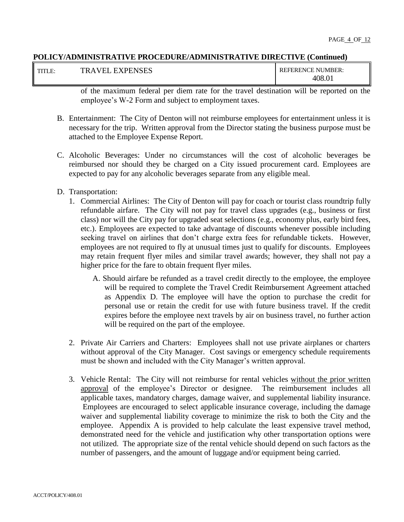| T T T T T T T<br>н. | KPENSES<br>m1<br>HX.<br>'нı<br>$\overline{ }$ | <b>EFERENCE</b><br>NUMBER:<br><b>REF</b> |
|---------------------|-----------------------------------------------|------------------------------------------|
|                     |                                               | $\Omega$<br>-08<br>7.U1                  |

of the maximum federal per diem rate for the travel destination will be reported on the employee's W-2 Form and subject to employment taxes.

- B. Entertainment: The City of Denton will not reimburse employees for entertainment unless it is necessary for the trip. Written approval from the Director stating the business purpose must be attached to the Employee Expense Report.
- C. Alcoholic Beverages: Under no circumstances will the cost of alcoholic beverages be reimbursed nor should they be charged on a City issued procurement card. Employees are expected to pay for any alcoholic beverages separate from any eligible meal.
- D. Transportation:
	- 1. Commercial Airlines: The City of Denton will pay for coach or tourist class roundtrip fully refundable airfare. The City will not pay for travel class upgrades (e.g., business or first class) nor will the City pay for upgraded seat selections (e.g., economy plus, early bird fees, etc.). Employees are expected to take advantage of discounts whenever possible including seeking travel on airlines that don't charge extra fees for refundable tickets. However, employees are not required to fly at unusual times just to qualify for discounts. Employees may retain frequent flyer miles and similar travel awards; however, they shall not pay a higher price for the fare to obtain frequent flyer miles.
		- A. Should airfare be refunded as a travel credit directly to the employee, the employee will be required to complete the Travel Credit Reimbursement Agreement attached as Appendix D. The employee will have the option to purchase the credit for personal use or retain the credit for use with future business travel. If the credit expires before the employee next travels by air on business travel, no further action will be required on the part of the employee.
	- 2. Private Air Carriers and Charters: Employees shall not use private airplanes or charters without approval of the City Manager. Cost savings or emergency schedule requirements must be shown and included with the City Manager's written approval.
	- 3. Vehicle Rental: The City will not reimburse for rental vehicles without the prior written approval of the employee's Director or designee. The reimbursement includes all applicable taxes, mandatory charges, damage waiver, and supplemental liability insurance. Employees are encouraged to select applicable insurance coverage, including the damage waiver and supplemental liability coverage to minimize the risk to both the City and the employee. Appendix A is provided to help calculate the least expensive travel method, demonstrated need for the vehicle and justification why other transportation options were not utilized. The appropriate size of the rental vehicle should depend on such factors as the number of passengers, and the amount of luggage and/or equipment being carried.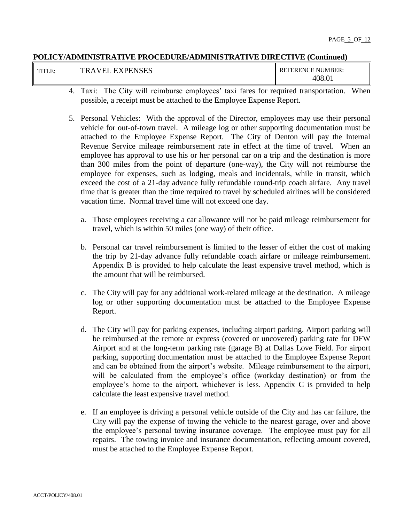| T T T T T<br>$\mathbf A$<br>К | <b>EXPENSES</b><br>ы | <b>REFERENCE NUMBER:</b><br>408<br>$\Omega$ |
|-------------------------------|----------------------|---------------------------------------------|
|-------------------------------|----------------------|---------------------------------------------|

- 4. Taxi: The City will reimburse employees' taxi fares for required transportation. When possible, a receipt must be attached to the Employee Expense Report.
- 5. Personal Vehicles: With the approval of the Director, employees may use their personal vehicle for out-of-town travel. A mileage log or other supporting documentation must be attached to the Employee Expense Report. The City of Denton will pay the Internal Revenue Service mileage reimbursement rate in effect at the time of travel. When an employee has approval to use his or her personal car on a trip and the destination is more than 300 miles from the point of departure (one-way), the City will not reimburse the employee for expenses, such as lodging, meals and incidentals, while in transit, which exceed the cost of a 21-day advance fully refundable round-trip coach airfare. Any travel time that is greater than the time required to travel by scheduled airlines will be considered vacation time. Normal travel time will not exceed one day.
	- a. Those employees receiving a car allowance will not be paid mileage reimbursement for travel, which is within 50 miles (one way) of their office.
	- b. Personal car travel reimbursement is limited to the lesser of either the cost of making the trip by 21-day advance fully refundable coach airfare or mileage reimbursement. Appendix B is provided to help calculate the least expensive travel method, which is the amount that will be reimbursed.
	- c. The City will pay for any additional work-related mileage at the destination. A mileage log or other supporting documentation must be attached to the Employee Expense Report.
	- d. The City will pay for parking expenses, including airport parking. Airport parking will be reimbursed at the remote or express (covered or uncovered) parking rate for DFW Airport and at the long-term parking rate (garage B) at Dallas Love Field. For airport parking, supporting documentation must be attached to the Employee Expense Report and can be obtained from the airport's website. Mileage reimbursement to the airport, will be calculated from the employee's office (workday destination) or from the employee's home to the airport, whichever is less. Appendix C is provided to help calculate the least expensive travel method.
	- e. If an employee is driving a personal vehicle outside of the City and has car failure, the City will pay the expense of towing the vehicle to the nearest garage, over and above the employee's personal towing insurance coverage. The employee must pay for all repairs. The towing invoice and insurance documentation, reflecting amount covered, must be attached to the Employee Expense Report.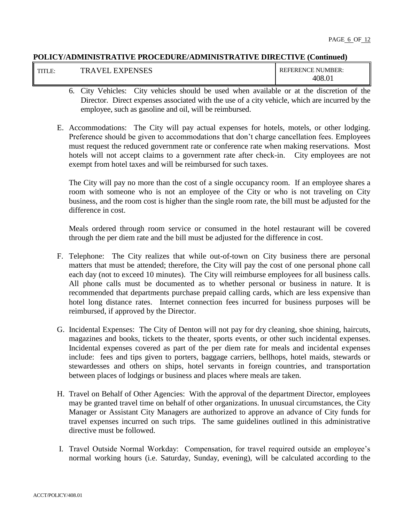| <b>TUTTIT</b> | <b>XPENSES</b><br>н<br>' H I<br>.<br>$\overline{\phantom{a}}$<br>ĸ | NUMBER:<br><b>REFERENCE</b><br>'Nı |
|---------------|--------------------------------------------------------------------|------------------------------------|
|               |                                                                    | 408.0 <sub>1</sub>                 |

- 6. City Vehicles: City vehicles should be used when available or at the discretion of the Director. Direct expenses associated with the use of a city vehicle, which are incurred by the employee, such as gasoline and oil, will be reimbursed.
- E. Accommodations: The City will pay actual expenses for hotels, motels, or other lodging. Preference should be given to accommodations that don't charge cancellation fees. Employees must request the reduced government rate or conference rate when making reservations. Most hotels will not accept claims to a government rate after check-in. City employees are not exempt from hotel taxes and will be reimbursed for such taxes.

The City will pay no more than the cost of a single occupancy room. If an employee shares a room with someone who is not an employee of the City or who is not traveling on City business, and the room cost is higher than the single room rate, the bill must be adjusted for the difference in cost.

Meals ordered through room service or consumed in the hotel restaurant will be covered through the per diem rate and the bill must be adjusted for the difference in cost.

- F. Telephone: The City realizes that while out-of-town on City business there are personal matters that must be attended; therefore, the City will pay the cost of one personal phone call each day (not to exceed 10 minutes). The City will reimburse employees for all business calls. All phone calls must be documented as to whether personal or business in nature. It is recommended that departments purchase prepaid calling cards, which are less expensive than hotel long distance rates. Internet connection fees incurred for business purposes will be reimbursed, if approved by the Director.
- G. Incidental Expenses: The City of Denton will not pay for dry cleaning, shoe shining, haircuts, magazines and books, tickets to the theater, sports events, or other such incidental expenses. Incidental expenses covered as part of the per diem rate for meals and incidental expenses include: fees and tips given to porters, baggage carriers, bellhops, hotel maids, stewards or stewardesses and others on ships, hotel servants in foreign countries, and transportation between places of lodgings or business and places where meals are taken.
- H. Travel on Behalf of Other Agencies: With the approval of the department Director, employees may be granted travel time on behalf of other organizations. In unusual circumstances, the City Manager or Assistant City Managers are authorized to approve an advance of City funds for travel expenses incurred on such trips. The same guidelines outlined in this administrative directive must be followed.
- I. Travel Outside Normal Workday: Compensation, for travel required outside an employee's normal working hours (i.e. Saturday, Sunday, evening), will be calculated according to the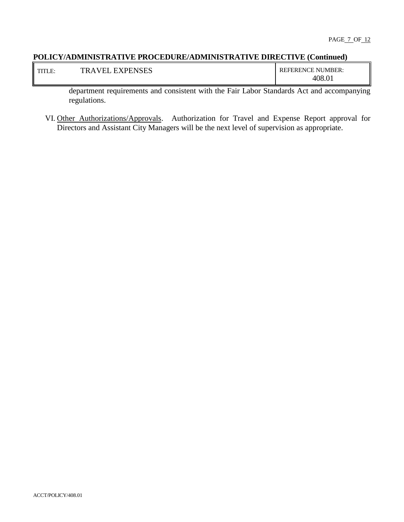| T T T T T<br><b>LALA</b>                                                        | <b>EXPENSES</b><br>ыı<br>$\mathbf A$ | NUMBER:<br><b>REFERENCE</b> |
|---------------------------------------------------------------------------------|--------------------------------------|-----------------------------|
| the contract of the contract of the contract of the contract of the contract of |                                      | $.0^{\circ}$<br>408         |

department requirements and consistent with the Fair Labor Standards Act and accompanying regulations.

VI. Other Authorizations/Approvals. Authorization for Travel and Expense Report approval for Directors and Assistant City Managers will be the next level of supervision as appropriate.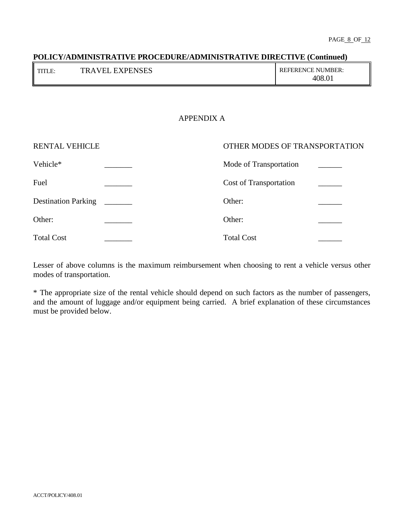| TTTT<br>в.<br>111LL. | <b>EXPENSES</b><br>VEI<br>тp<br>$\Delta$ | <b>REFERENCE NUMBER:</b><br>$-408.$ U |
|----------------------|------------------------------------------|---------------------------------------|
|----------------------|------------------------------------------|---------------------------------------|

# APPENDIX A

| RENTAL VEHICLE             | OTHER MODES OF TRANSPORTATION |
|----------------------------|-------------------------------|
| Vehicle*                   | Mode of Transportation        |
| Fuel                       | Cost of Transportation        |
| <b>Destination Parking</b> | Other:                        |
| Other:                     | Other:                        |
| <b>Total Cost</b>          | <b>Total Cost</b>             |

Lesser of above columns is the maximum reimbursement when choosing to rent a vehicle versus other modes of transportation.

\* The appropriate size of the rental vehicle should depend on such factors as the number of passengers, and the amount of luggage and/or equipment being carried. A brief explanation of these circumstances must be provided below.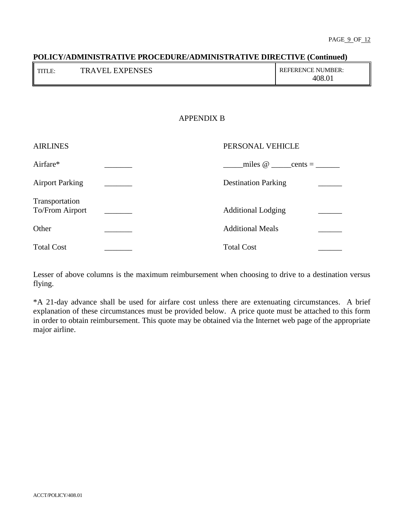# **POLICY/ADMINISTRATIVE PROCEDURE/ADMINISTRATIVE DIRECTIVE (Continued)** TITLE: TRAVEL EXPENSES REFERENCE NUMBER: 408.01

# APPENDIX B

| <b>AIRLINES</b>                   |  | PERSONAL VEHICLE                    |
|-----------------------------------|--|-------------------------------------|
| Airfare*                          |  | miles $\omega$ ______ cents = _____ |
| <b>Airport Parking</b>            |  | <b>Destination Parking</b>          |
| Transportation<br>To/From Airport |  | <b>Additional Lodging</b>           |
| Other                             |  | <b>Additional Meals</b>             |
| <b>Total Cost</b>                 |  | <b>Total Cost</b>                   |

Lesser of above columns is the maximum reimbursement when choosing to drive to a destination versus flying.

\*A 21-day advance shall be used for airfare cost unless there are extenuating circumstances. A brief explanation of these circumstances must be provided below. A price quote must be attached to this form in order to obtain reimbursement. This quote may be obtained via the Internet web page of the appropriate major airline.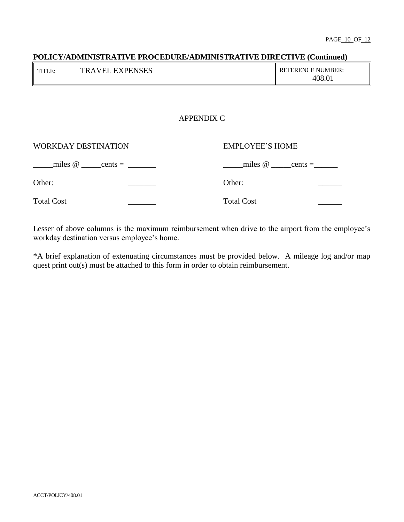# **POLICY/ADMINISTRATIVE PROCEDURE/ADMINISTRATIVE DIRECTIVE (Continued)** TITLE: TRAVEL EXPENSES REFERENCE NUMBER: 408.01 APPENDIX C

| <b>WORKDAY DESTINATION</b> | <b>EMPLOYEE'S HOME</b>                |
|----------------------------|---------------------------------------|
| miles $\omega$ cents =     | miles $\omega$ ______ cents = _______ |
| Other:                     | Other:                                |
| <b>Total Cost</b>          | <b>Total Cost</b>                     |

Lesser of above columns is the maximum reimbursement when drive to the airport from the employee's workday destination versus employee's home.

\*A brief explanation of extenuating circumstances must be provided below. A mileage log and/or map quest print out(s) must be attached to this form in order to obtain reimbursement.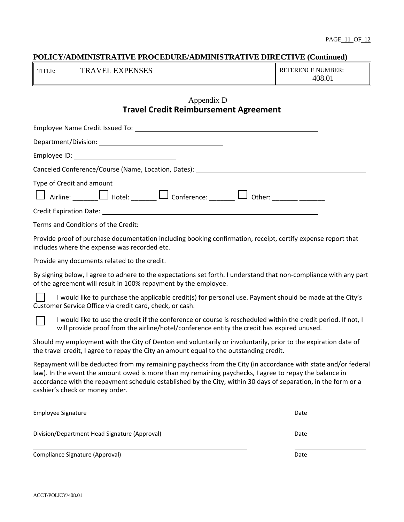| II TITI | <b>TRAVEL EXPENSES</b> | <b>REFERENCE NUMBER:</b> |
|---------|------------------------|--------------------------|
|         |                        | 408.01                   |

# Appendix D **Travel Credit Reimbursement Agreement**

| Canceled Conference/Course (Name, Location, Dates): Name and Controller and Controller and Controller and Controller |  |  |  |
|----------------------------------------------------------------------------------------------------------------------|--|--|--|
| Type of Credit and amount<br>$\Box$ Airline: $\Box$ Hotel: $\Box$ Conference: $\Box$ Other:                          |  |  |  |
|                                                                                                                      |  |  |  |
| Terms and Conditions of the Credit: National Conditional Conditions of the Credit:                                   |  |  |  |

Provide proof of purchase documentation including booking confirmation, receipt, certify expense report that includes where the expense was recorded etc.

Provide any documents related to the credit.

By signing below, I agree to adhere to the expectations set forth. I understand that non-compliance with any part of the agreement will result in 100% repayment by the employee.

I would like to purchase the applicable credit(s) for personal use. Payment should be made at the City's Customer Service Office via credit card, check, or cash.

I would like to use the credit if the conference or course is rescheduled within the credit period. If not, I will provide proof from the airline/hotel/conference entity the credit has expired unused.

Should my employment with the City of Denton end voluntarily or involuntarily, prior to the expiration date of the travel credit, I agree to repay the City an amount equal to the outstanding credit.

Repayment will be deducted from my remaining paychecks from the City (in accordance with state and/or federal law). In the event the amount owed is more than my remaining paychecks, I agree to repay the balance in accordance with the repayment schedule established by the City, within 30 days of separation, in the form or a cashier's check or money order.

| <b>Employee Signature</b>                     | Date |
|-----------------------------------------------|------|
| Division/Department Head Signature (Approval) | Date |
| Compliance Signature (Approval)               | Date |

ACCT/POLICY/408.01